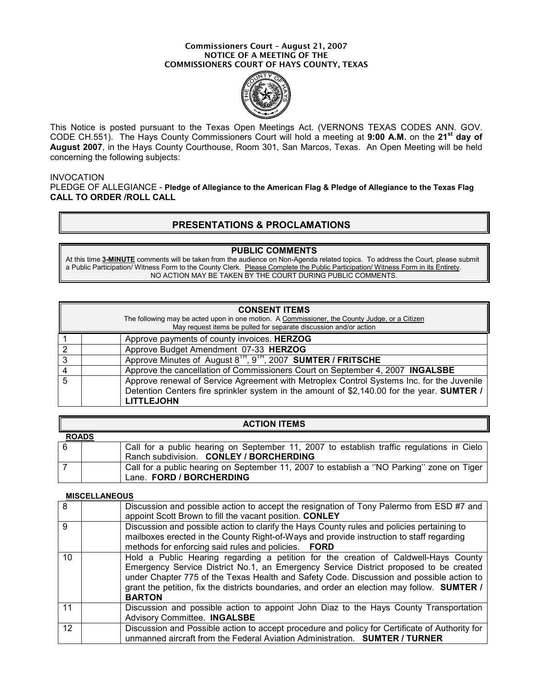#### Commissioners Court – August 21, 2007 NOTICE OF A MEETING OF THE COMMISSIONERS COURT OF HAYS COUNTY, TEXAS



This Notice is posted pursuant to the Texas Open Meetings Act. (VERNONS TEXAS CODES ANN. GOV. CODE CH.551). The Hays County Commissioners Court will hold a meeting at 9:00 A.M. on the 21<sup>st</sup> day of August 2007, in the Hays County Courthouse, Room 301, San Marcos, Texas. An Open Meeting will be held concerning the following subjects:

### INVOCATION

PLEDGE OF ALLEGIANCE - Pledge of Allegiance to the American Flag & Pledge of Allegiance to the Texas Flag CALL TO ORDER /ROLL CALL

## PRESENTATIONS & PROCLAMATIONS

### PUBLIC COMMENTS

At this time 3-MINUTE comments will be taken from the audience on Non-Agenda related topics. To address the Court, please submit a Public Participation/ Witness Form to the County Clerk. Please Complete the Public Participation/ Witness Form in its Entirety. NO ACTION MAY BE TAKEN BY THE COURT DURING PUBLIC COMMENTS.

#### CONSENT ITEMS

The following may be acted upon in one motion. A Commissioner, the County Judge, or a Citizen May request items be pulled for separate discussion and/or action

|   | Approve payments of county invoices. HERZOG                                                 |
|---|---------------------------------------------------------------------------------------------|
|   | Approve Budget Amendment 07-33 HERZOG                                                       |
| 3 | Approve Minutes of August 8 <sup>IH</sup> , 9 <sup>IH</sup> , 2007 <b>SUMTER / FRITSCHE</b> |
|   | Approve the cancellation of Commissioners Court on September 4, 2007 INGALSBE               |
| 5 | Approve renewal of Service Agreement with Metroplex Control Systems Inc. for the Juvenile   |
|   | Detention Centers fire sprinkler system in the amount of \$2,140.00 for the year. SUMTER /  |
|   | <b>LITTLEJOHN</b>                                                                           |

|              | <b>ACTION ITEMS</b>                                                                       |
|--------------|-------------------------------------------------------------------------------------------|
| <b>ROADS</b> |                                                                                           |
| 6            | Call for a public hearing on September 11, 2007 to establish traffic regulations in Cielo |
|              | Ranch subdivision. CONLEY / BORCHERDING                                                   |
|              | Call for a public hearing on September 11, 2007 to establish a "NO Parking" zone on Tiger |
|              | Lane. FORD / BORCHERDING                                                                  |

#### **MISCELLANEOUS**

| $\overline{8}$ | Discussion and possible action to accept the resignation of Tony Palermo from ESD #7 and<br>appoint Scott Brown to fill the vacant position. CONLEY                                                                                                                                                                                                                                       |
|----------------|-------------------------------------------------------------------------------------------------------------------------------------------------------------------------------------------------------------------------------------------------------------------------------------------------------------------------------------------------------------------------------------------|
| 9              | Discussion and possible action to clarify the Hays County rules and policies pertaining to<br>mailboxes erected in the County Right-of-Ways and provide instruction to staff regarding<br>methods for enforcing said rules and policies. FORD                                                                                                                                             |
| 10             | Hold a Public Hearing regarding a petition for the creation of Caldwell-Hays County<br>Emergency Service District No.1, an Emergency Service District proposed to be created<br>under Chapter 775 of the Texas Health and Safety Code. Discussion and possible action to<br>grant the petition, fix the districts boundaries, and order an election may follow. SUMTER /<br><b>BARTON</b> |
| 11             | Discussion and possible action to appoint John Diaz to the Hays County Transportation<br><b>Advisory Committee. INGALSBE</b>                                                                                                                                                                                                                                                              |
| 12             | Discussion and Possible action to accept procedure and policy for Certificate of Authority for<br>unmanned aircraft from the Federal Aviation Administration. SUMTER / TURNER                                                                                                                                                                                                             |